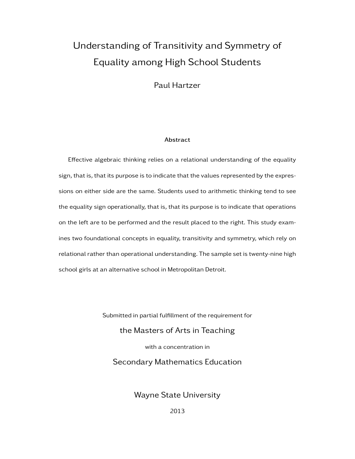# Understanding of Transitivity and Symmetry of Equality among High School Students

Paul Hartzer

#### Abstract

Effective algebraic thinking relies on a relational understanding of the equality sign, that is, that its purpose is to indicate that the values represented by the expressions on either side are the same. Students used to arithmetic thinking tend to see the equality sign operationally, that is, that its purpose is to indicate that operations on the left are to be performed and the result placed to the right. This study examines two foundational concepts in equality, transitivity and symmetry, which rely on relational rather than operational understanding. The sample set is twenty-nine high school girls at an alternative school in Metropolitan Detroit.

> Submitted in partial fulfillment of the requirement for the Masters of Arts in Teaching with a concentration in Secondary Mathematics Education

> > Wayne State University

2013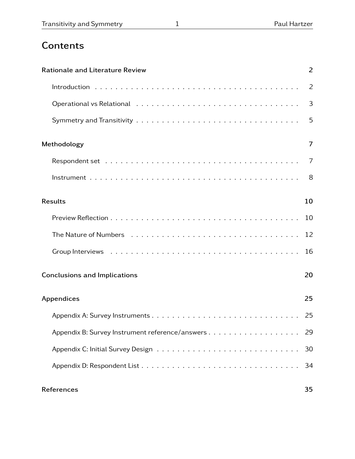# **Contents**

| <b>Rationale and Literature Review</b> | $\overline{2}$ |
|----------------------------------------|----------------|
|                                        | 2              |
|                                        | 3              |
|                                        | 5              |
| Methodology                            | 7              |
|                                        | 7              |
|                                        | 8              |
| <b>Results</b>                         | 10             |
|                                        |                |
|                                        | 12             |
|                                        | 16             |
| <b>Conclusions and Implications</b>    | 20             |
| Appendices                             | 25             |
|                                        | 25             |
|                                        | 29             |
|                                        | 30             |
|                                        | 34             |
| References                             | 35             |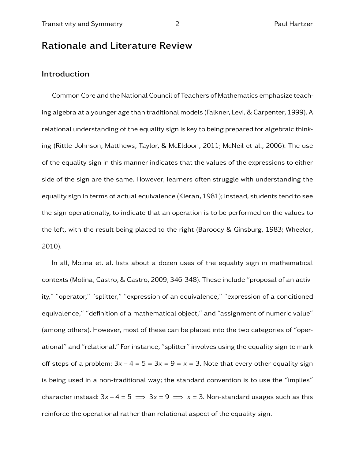# Rationale and Literature Review

## Introduction

Common Core and the National Council of Teachers of Mathematics emphasize teaching algebra at a younger age than traditional models (Falkner, Levi, & Carpenter, 1999). A relational understanding of the equality sign is key to being prepared for algebraic thinking (Rittle-Johnson, Matthews, Taylor, & McEldoon, 2011; McNeil et al., 2006): The use of the equality sign in this manner indicates that the values of the expressions to either side of the sign are the same. However, learners often struggle with understanding the equality sign in terms of actual equivalence (Kieran, 1981); instead, students tend to see the sign operationally, to indicate that an operation is to be performed on the values to the left, with the result being placed to the right (Baroody & Ginsburg, 1983; Wheeler, 2010).

In all, Molina et. al. lists about a dozen uses of the equality sign in mathematical contexts (Molina, Castro, & Castro, 2009, 346-348). These include "proposal of an activity," "operator," "splitter," "expression of an equivalence," "expression of a conditioned equivalence," "definition of a mathematical object," and "assignment of numeric value" (among others). However, most of these can be placed into the two categories of "operational" and "relational." For instance, "splitter" involves using the equality sign to mark off steps of a problem:  $3x - 4 = 5 = 3x = 9 = x = 3$ . Note that every other equality sign is being used in a non-traditional way; the standard convention is to use the "implies" character instead:  $3x - 4 = 5 \implies 3x = 9 \implies x = 3$ . Non-standard usages such as this reinforce the operational rather than relational aspect of the equality sign.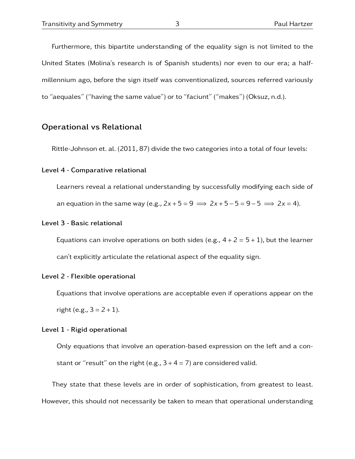Furthermore, this bipartite understanding of the equality sign is not limited to the United States (Molina's research is of Spanish students) nor even to our era; a halfmillennium ago, before the sign itself was conventionalized, sources referred variously to "aequales" ("having the same value") or to "faciunt" ("makes") (Oksuz, n.d.).

### Operational vs Relational

Rittle-Johnson et. al. (2011, 87) divide the two categories into a total of four levels:

#### Level 4 - Comparative relational

Learners reveal a relational understanding by successfully modifying each side of an equation in the same way (e.g.,  $2x + 5 = 9 \implies 2x + 5 - 5 = 9 - 5 \implies 2x = 4$ ).

#### Level 3 - Basic relational

Equations can involve operations on both sides (e.g.,  $4 + 2 = 5 + 1$ ), but the learner can't explicitly articulate the relational aspect of the equality sign.

#### Level 2 - Flexible operational

Equations that involve operations are acceptable even if operations appear on the right (e.g.,  $3 = 2 + 1$ ).

#### Level 1 - Rigid operational

Only equations that involve an operation-based expression on the left and a constant or "result" on the right (e.g.,  $3 + 4 = 7$ ) are considered valid.

They state that these levels are in order of sophistication, from greatest to least. However, this should not necessarily be taken to mean that operational understanding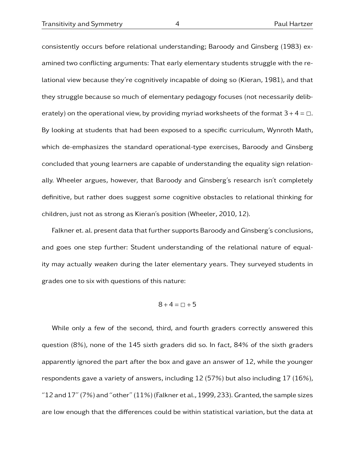consistently occurs before relational understanding; Baroody and Ginsberg (1983) examined two conflicting arguments: That early elementary students struggle with the relational view because they're cognitively incapable of doing so (Kieran, 1981), and that they struggle because so much of elementary pedagogy focuses (not necessarily deliberately) on the operational view, by providing myriad worksheets of the format  $3 + 4 = \Box$ . By looking at students that had been exposed to a specific curriculum, Wynroth Math, which de-emphasizes the standard operational-type exercises, Baroody and Ginsberg concluded that young learners are capable of understanding the equality sign relationally. Wheeler argues, however, that Baroody and Ginsberg's research isn't completely definitive, but rather does suggest some cognitive obstacles to relational thinking for children, just not as strong as Kieran's position (Wheeler, 2010, 12).

Falkner et. al. present data that further supports Baroody and Ginsberg's conclusions, and goes one step further: Student understanding of the relational nature of equality may actually weaken during the later elementary years. They surveyed students in grades one to six with questions of this nature:

$$
8+4=\square+5
$$

While only a few of the second, third, and fourth graders correctly answered this question (8%), none of the 145 sixth graders did so. In fact, 84% of the sixth graders apparently ignored the part after the box and gave an answer of 12, while the younger respondents gave a variety of answers, including 12 (57%) but also including 17 (16%),  $"12$  and  $17"$  (7%) and "other" (11%) (Falkner et al., 1999, 233). Granted, the sample sizes are low enough that the differences could be within statistical variation, but the data at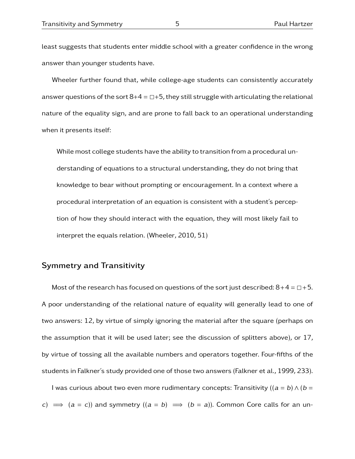least suggests that students enter middle school with a greater confidence in the wrong answer than younger students have.

Wheeler further found that, while college-age students can consistently accurately answer questions of the sort  $8+4 = \square + 5$ , they still struggle with articulating the relational nature of the equality sign, and are prone to fall back to an operational understanding when it presents itself:

While most college students have the ability to transition from a procedural understanding of equations to a structural understanding, they do not bring that knowledge to bear without prompting or encouragement. In a context where a procedural interpretation of an equation is consistent with a student's perception of how they should interact with the equation, they will most likely fail to interpret the equals relation. (Wheeler, 2010, 51)

## Symmetry and Transitivity

Most of the research has focused on questions of the sort just described:  $8+4= \square +5$ . A poor understanding of the relational nature of equality will generally lead to one of two answers: 12, by virtue of simply ignoring the material after the square (perhaps on the assumption that it will be used later; see the discussion of splitters above), or 17, by virtue of tossing all the available numbers and operators together. Four-fifths of the students in Falkner's study provided one of those two answers (Falkner et al., 1999, 233).

I was curious about two even more rudimentary concepts: Transitivity ( $(a = b) \wedge (b = c)$ c)  $\Rightarrow$  (a = c)) and symmetry ((a = b)  $\Rightarrow$  (b = a)). Common Core calls for an un-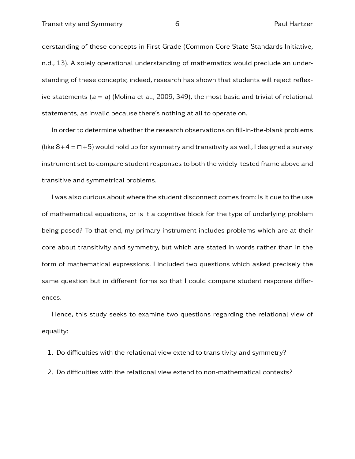derstanding of these concepts in First Grade (Common Core State Standards Initiative, n.d., 13). A solely operational understanding of mathematics would preclude an understanding of these concepts; indeed, research has shown that students will reject reflexive statements  $(a = a)$  (Molina et al., 2009, 349), the most basic and trivial of relational statements, as invalid because there's nothing at all to operate on.

In order to determine whether the research observations on fill-in-the-blank problems (like  $8+4 = \Box + 5$ ) would hold up for symmetry and transitivity as well, I designed a survey instrument set to compare student responses to both the widely-tested frame above and transitive and symmetrical problems.

I was also curious about where the student disconnect comes from: Is it due to the use of mathematical equations, or is it a cognitive block for the type of underlying problem being posed? To that end, my primary instrument includes problems which are at their core about transitivity and symmetry, but which are stated in words rather than in the form of mathematical expressions. I included two questions which asked precisely the same question but in different forms so that I could compare student response differences.

Hence, this study seeks to examine two questions regarding the relational view of equality:

- 1. Do difficulties with the relational view extend to transitivity and symmetry?
- 2. Do difficulties with the relational view extend to non-mathematical contexts?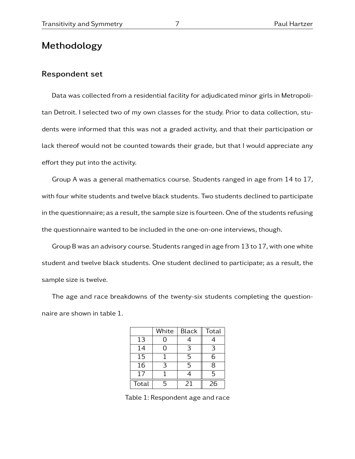# Methodology

### Respondent set

Data was collected from a residential facility for adjudicated minor girls in Metropolitan Detroit. I selected two of my own classes for the study. Prior to data collection, students were informed that this was not a graded activity, and that their participation or lack thereof would not be counted towards their grade, but that I would appreciate any effort they put into the activity.

Group A was a general mathematics course. Students ranged in age from 14 to 17, with four white students and twelve black students. Two students declined to participate in the questionnaire; as a result, the sample size is fourteen. One of the students refusing the questionnaire wanted to be included in the one-on-one interviews, though.

Group B was an advisory course. Students ranged in age from 13 to 17, with one white student and twelve black students. One student declined to participate; as a result, the sample size is twelve.

The age and race breakdowns of the twenty-six students completing the questionnaire are shown in table 1.

|                 | White | <b>Black</b> | Total |
|-----------------|-------|--------------|-------|
| 13              | 0     |              |       |
| 14              | O     | 3            | 3     |
| $\overline{15}$ |       | 5            | 6     |
| 16              | 3     | 5            | 8     |
| 17              |       |              | 5     |
| Total           | 5     | 21           | 26    |

Table 1: Respondent age and race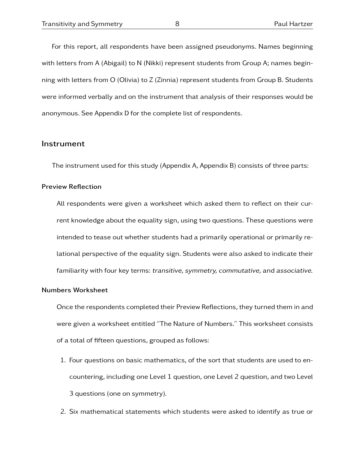For this report, all respondents have been assigned pseudonyms. Names beginning with letters from A (Abigail) to N (Nikki) represent students from Group A; names beginning with letters from O (Olivia) to Z (Zinnia) represent students from Group B. Students were informed verbally and on the instrument that analysis of their responses would be anonymous. See Appendix D for the complete list of respondents.

### **Instrument**

The instrument used for this study (Appendix A, Appendix B) consists of three parts:

#### Preview Reflection

All respondents were given a worksheet which asked them to reflect on their current knowledge about the equality sign, using two questions. These questions were intended to tease out whether students had a primarily operational or primarily relational perspective of the equality sign. Students were also asked to indicate their familiarity with four key terms: transitive, symmetry, commutative, and associative.

#### Numbers Worksheet

Once the respondents completed their Preview Reflections, they turned them in and were given a worksheet entitled "The Nature of Numbers." This worksheet consists of a total of fifteen questions, grouped as follows:

- 1. Four questions on basic mathematics, of the sort that students are used to encountering, including one Level 1 question, one Level 2 question, and two Level 3 questions (one on symmetry).
- 2. Six mathematical statements which students were asked to identify as true or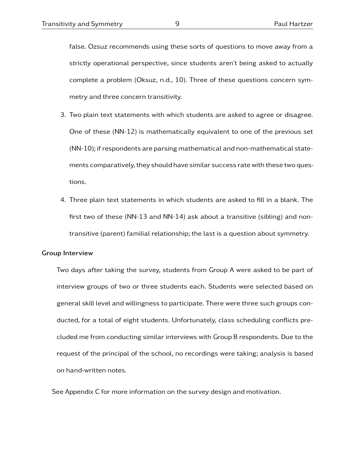false. Ozsuz recommends using these sorts of questions to move away from a strictly operational perspective, since students aren't being asked to actually complete a problem (Oksuz, n.d., 10). Three of these questions concern symmetry and three concern transitivity.

- 3. Two plain text statements with which students are asked to agree or disagree. One of these (NN-12) is mathematically equivalent to one of the previous set (NN-10); if respondents are parsing mathematical and non-mathematical statements comparatively, they should have similar success rate with these two questions.
- 4. Three plain text statements in which students are asked to fill in a blank. The first two of these (NN-13 and NN-14) ask about a transitive (sibling) and nontransitive (parent) familial relationship; the last is a question about symmetry.

#### Group Interview

Two days after taking the survey, students from Group A were asked to be part of interview groups of two or three students each. Students were selected based on general skill level and willingness to participate. There were three such groups conducted, for a total of eight students. Unfortunately, class scheduling conflicts precluded me from conducting similar interviews with Group B respondents. Due to the request of the principal of the school, no recordings were taking; analysis is based on hand-written notes.

See Appendix C for more information on the survey design and motivation.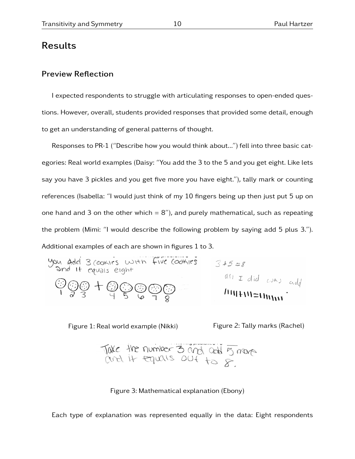# Results

### Preview Reflection

I expected respondents to struggle with articulating responses to open-ended questions. However, overall, students provided responses that provided some detail, enough to get an understanding of general patterns of thought.

Responses to PR-1 ("Describe how you would think about...") fell into three basic categories: Real world examples (Daisy: "You add the 3 to the 5 and you get eight. Like lets say you have 3 pickles and you get five more you have eight."), tally mark or counting references (Isabella: "I would just think of my 10 fingers being up then just put 5 up on one hand and 3 on the other which  $= 8$ "), and purely mathematical, such as repeating the problem (Mimi: "I would describe the following problem by saying add 5 plus 3."). Additional examples of each are shown in figures 1 to 3.

You add 3 (counts with five (cochirs) 
$$
3+5=8
$$

\nand If equals eight

\n
$$
\frac{600}{183} + \frac{600}{9} \cdot \frac{600}{5} = \frac{60}{18}
$$
\nHint:  $10 = 1$ 

Figure 1: Real world example (Nikki) Figure 2: Tally marks (Rachel)

Take the number 3 and call 5 mars

Figure 3: Mathematical explanation (Ebony)

Each type of explanation was represented equally in the data: Eight respondents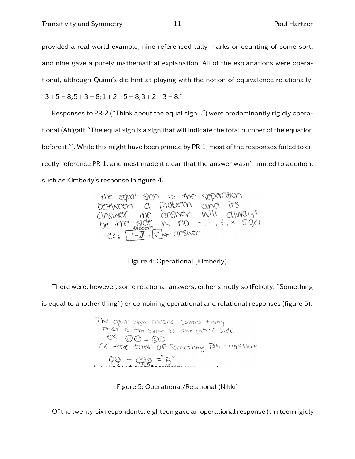provided a real world example, nine referenced tally marks or counting of some sort, and nine gave a purely mathematical explanation. All of the explanations were operational, although Quinn's did hint at playing with the notion of equivalence relationally:

 $"3 + 5 = 8;5 + 3 = 8;1 + 2 + 5 = 8;3 + 2 + 3 = 8."$ 

Responses to PR-2 ("Think about the equal sign...") were predominantly rigidly operational (Abigail: "The equal sign is a sign that will indicate the total number of the equation before it."). While this might have been primed by PR-1, most of the responses failed to directly reference PR-1, and most made it clear that the answer wasn't limited to addition, such as Kimberly's response in figure 4.

the equal sign is the separation between a problem and its<br>answer. The answer will always<br>be the side w/ no +, -, -, x sign between answer.  $ex: [7 - 3] = 5 + 0$ 

Figure 4: Operational (Kimberly)

There were, however, some relational answers, either strictly so (Felicity: "Something is equal to another thing") or combining operational and relational responses (figure 5).

> The equal skyn means somes thing<br>that is the same as the other side ex: 00 = 00<br>Or the total of Scinething. Put together  $60 + 99 = 5$

> > Figure 5: Operational/Relational (Nikki)

Of the twenty-six respondents, eighteen gave an operational response (thirteen rigidly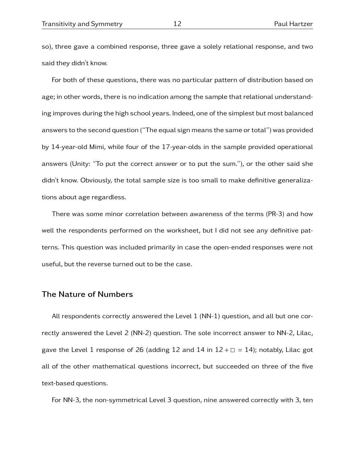so), three gave a combined response, three gave a solely relational response, and two said they didn't know.

For both of these questions, there was no particular pattern of distribution based on age; in other words, there is no indication among the sample that relational understanding improves during the high school years. Indeed, one of the simplest but most balanced answers to the second question ("The equal sign means the same or total") was provided by 14-year-old Mimi, while four of the 17-year-olds in the sample provided operational answers (Unity: "To put the correct answer or to put the sum."), or the other said she didn't know. Obviously, the total sample size is too small to make definitive generalizations about age regardless.

There was some minor correlation between awareness of the terms (PR-3) and how well the respondents performed on the worksheet, but I did not see any definitive patterns. This question was included primarily in case the open-ended responses were not useful, but the reverse turned out to be the case.

## The Nature of Numbers

All respondents correctly answered the Level 1 (NN-1) question, and all but one correctly answered the Level 2 (NN-2) question. The sole incorrect answer to NN-2, Lilac, gave the Level 1 response of 26 (adding 12 and 14 in  $12 + \square = 14$ ); notably, Lilac got all of the other mathematical questions incorrect, but succeeded on three of the five text-based questions.

For NN-3, the non-symmetrical Level 3 question, nine answered correctly with 3, ten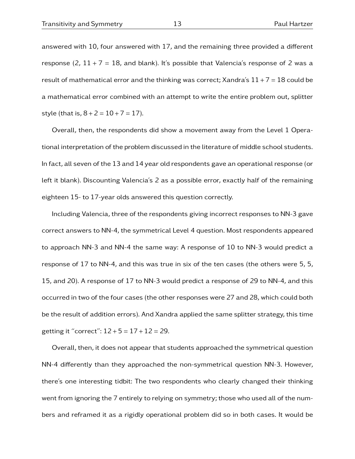answered with 10, four answered with 17, and the remaining three provided a different response (2,  $11 + 7 = 18$ , and blank). It's possible that Valencia's response of 2 was a result of mathematical error and the thinking was correct; Xandra's  $11 + 7 = 18$  could be a mathematical error combined with an attempt to write the entire problem out, splitter style (that is,  $8 + 2 = 10 + 7 = 17$ ).

Overall, then, the respondents did show a movement away from the Level 1 Operational interpretation of the problem discussed in the literature of middle school students. In fact, all seven of the 13 and 14 year old respondents gave an operational response (or left it blank). Discounting Valencia's 2 as a possible error, exactly half of the remaining eighteen 15- to 17-year olds answered this question correctly.

Including Valencia, three of the respondents giving incorrect responses to NN-3 gave correct answers to NN-4, the symmetrical Level 4 question. Most respondents appeared to approach NN-3 and NN-4 the same way: A response of 10 to NN-3 would predict a response of 17 to NN-4, and this was true in six of the ten cases (the others were 5, 5, 15, and 20). A response of 17 to NN-3 would predict a response of 29 to NN-4, and this occurred in two of the four cases (the other responses were 27 and 28, which could both be the result of addition errors). And Xandra applied the same splitter strategy, this time getting it "correct":  $12 + 5 = 17 + 12 = 29$ .

Overall, then, it does not appear that students approached the symmetrical question NN-4 differently than they approached the non-symmetrical question NN-3. However, there's one interesting tidbit: The two respondents who clearly changed their thinking went from ignoring the 7 entirely to relying on symmetry; those who used all of the numbers and reframed it as a rigidly operational problem did so in both cases. It would be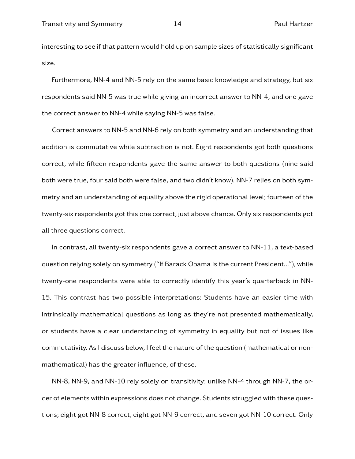interesting to see if that pattern would hold up on sample sizes of statistically significant size.

Furthermore, NN-4 and NN-5 rely on the same basic knowledge and strategy, but six respondents said NN-5 was true while giving an incorrect answer to NN-4, and one gave the correct answer to NN-4 while saying NN-5 was false.

Correct answers to NN-5 and NN-6 rely on both symmetry and an understanding that addition is commutative while subtraction is not. Eight respondents got both questions correct, while fifteen respondents gave the same answer to both questions (nine said both were true, four said both were false, and two didn't know). NN-7 relies on both symmetry and an understanding of equality above the rigid operational level; fourteen of the twenty-six respondents got this one correct, just above chance. Only six respondents got all three questions correct.

In contrast, all twenty-six respondents gave a correct answer to NN-11, a text-based question relying solely on symmetry ("If Barack Obama is the current President..."), while twenty-one respondents were able to correctly identify this year's quarterback in NN-15. This contrast has two possible interpretations: Students have an easier time with intrinsically mathematical questions as long as they're not presented mathematically, or students have a clear understanding of symmetry in equality but not of issues like commutativity. As I discuss below, I feel the nature of the question (mathematical or nonmathematical) has the greater influence, of these.

NN-8, NN-9, and NN-10 rely solely on transitivity; unlike NN-4 through NN-7, the order of elements within expressions does not change. Students struggled with these questions; eight got NN-8 correct, eight got NN-9 correct, and seven got NN-10 correct. Only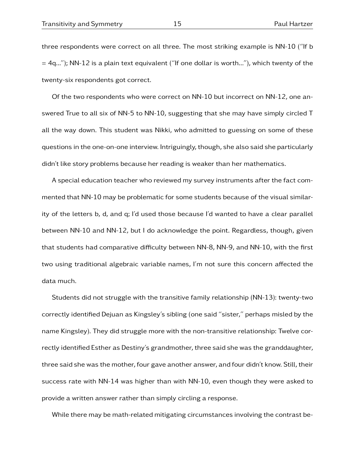three respondents were correct on all three. The most striking example is NN-10 ("If b  $=$  4q..."); NN-12 is a plain text equivalent ("If one dollar is worth..."), which twenty of the twenty-six respondents got correct.

Of the two respondents who were correct on NN-10 but incorrect on NN-12, one answered True to all six of NN-5 to NN-10, suggesting that she may have simply circled T all the way down. This student was Nikki, who admitted to guessing on some of these questions in the one-on-one interview. Intriguingly, though, she also said she particularly didn't like story problems because her reading is weaker than her mathematics.

A special education teacher who reviewed my survey instruments after the fact commented that NN-10 may be problematic for some students because of the visual similarity of the letters b, d, and q; I'd used those because I'd wanted to have a clear parallel between NN-10 and NN-12, but I do acknowledge the point. Regardless, though, given that students had comparative difficulty between NN-8, NN-9, and NN-10, with the first two using traditional algebraic variable names, I'm not sure this concern affected the data much.

Students did not struggle with the transitive family relationship (NN-13): twenty-two correctly identified Dejuan as Kingsley's sibling (one said "sister," perhaps misled by the name Kingsley). They did struggle more with the non-transitive relationship: Twelve correctly identified Esther as Destiny's grandmother, three said she was the granddaughter, three said she was the mother, four gave another answer, and four didn't know. Still, their success rate with NN-14 was higher than with NN-10, even though they were asked to provide a written answer rather than simply circling a response.

While there may be math-related mitigating circumstances involving the contrast be-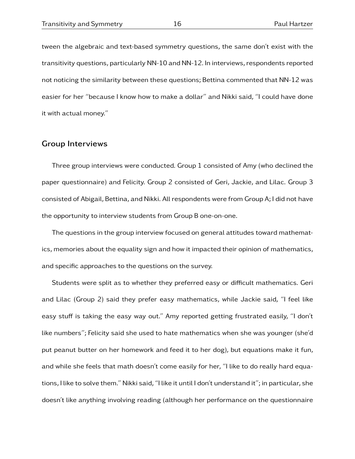tween the algebraic and text-based symmetry questions, the same don't exist with the transitivity questions, particularly NN-10 and NN-12. In interviews, respondents reported not noticing the similarity between these questions; Bettina commented that NN-12 was easier for her "because I know how to make a dollar" and Nikki said, "I could have done it with actual money."

### Group Interviews

Three group interviews were conducted. Group 1 consisted of Amy (who declined the paper questionnaire) and Felicity. Group 2 consisted of Geri, Jackie, and Lilac. Group 3 consisted of Abigail, Bettina, and Nikki. All respondents were from Group A; I did not have the opportunity to interview students from Group B one-on-one.

The questions in the group interview focused on general attitudes toward mathematics, memories about the equality sign and how it impacted their opinion of mathematics, and specific approaches to the questions on the survey.

Students were split as to whether they preferred easy or difficult mathematics. Geri and Lilac (Group 2) said they prefer easy mathematics, while Jackie said, "I feel like easy stuff is taking the easy way out." Amy reported getting frustrated easily, "I don't like numbers"; Felicity said she used to hate mathematics when she was younger (she'd put peanut butter on her homework and feed it to her dog), but equations make it fun, and while she feels that math doesn't come easily for her, "I like to do really hard equations, I like to solve them." Nikki said, "I like it until I don't understand it"; in particular, she doesn't like anything involving reading (although her performance on the questionnaire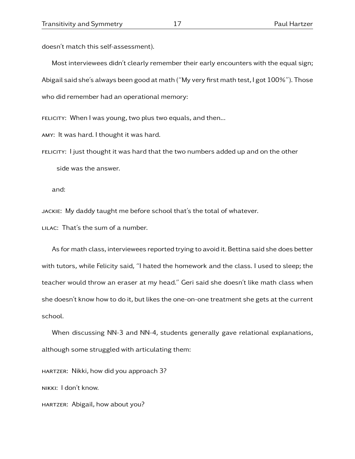doesn't match this self-assessment).

Most interviewees didn't clearly remember their early encounters with the equal sign; Abigail said she's always been good at math ("My very first math test, I got 100%"). Those who did remember had an operational memory:

FELICITY: When I was young, two plus two equals, and then...

amy: It was hard. I thought it was hard.

felicity: I just thought it was hard that the two numbers added up and on the other side was the answer.

and:

jackie: My daddy taught me before school that's the total of whatever.

LILAC: That's the sum of a number.

As for math class, interviewees reported trying to avoid it. Bettina said she does better with tutors, while Felicity said, "I hated the homework and the class. I used to sleep; the teacher would throw an eraser at my head." Geri said she doesn't like math class when she doesn't know how to do it, but likes the one-on-one treatment she gets at the current school.

When discussing NN-3 and NN-4, students generally gave relational explanations, although some struggled with articulating them:

hartzer: Nikki, how did you approach 3? nikki: I don't know.

hartzer: Abigail, how about you?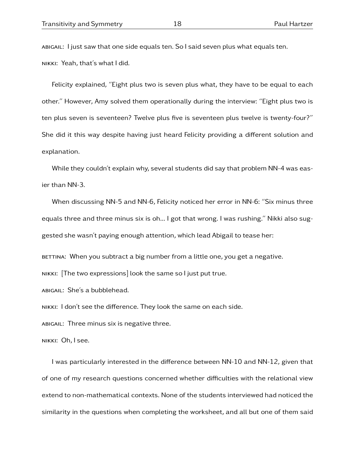abigail: I just saw that one side equals ten. So I said seven plus what equals ten. nikki: Yeah, that's what I did.

Felicity explained, "Eight plus two is seven plus what, they have to be equal to each other." However, Amy solved them operationally during the interview: "Eight plus two is ten plus seven is seventeen? Twelve plus five is seventeen plus twelve is twenty-four?" She did it this way despite having just heard Felicity providing a different solution and explanation.

While they couldn't explain why, several students did say that problem NN-4 was easier than NN-3.

When discussing NN-5 and NN-6, Felicity noticed her error in NN-6: "Six minus three equals three and three minus six is oh... I got that wrong. I was rushing." Nikki also suggested she wasn't paying enough attention, which lead Abigail to tease her:

BETTINA: When you subtract a big number from a little one, you get a negative.

nikki: [The two expressions] look the same so I just put true.

abigail: She's a bubblehead.

nikki: I don't see the difference. They look the same on each side.

abigail: Three minus six is negative three.

nikki: Oh, I see.

I was particularly interested in the difference between NN-10 and NN-12, given that of one of my research questions concerned whether difficulties with the relational view extend to non-mathematical contexts. None of the students interviewed had noticed the similarity in the questions when completing the worksheet, and all but one of them said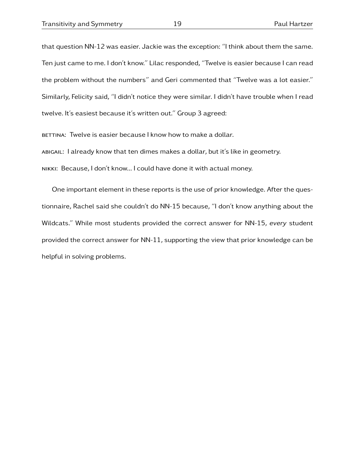that question NN-12 was easier. Jackie was the exception: "I think about them the same. Ten just came to me. I don't know." Lilac responded, "Twelve is easier because I can read the problem without the numbers" and Geri commented that "Twelve was a lot easier." Similarly, Felicity said, "I didn't notice they were similar. I didn't have trouble when I read twelve. It's easiest because it's written out." Group 3 agreed:

BETTINA: Twelve is easier because I know how to make a dollar. abigail: I already know that ten dimes makes a dollar, but it's like in geometry. nikki: Because, I don't know... I could have done it with actual money.

One important element in these reports is the use of prior knowledge. After the questionnaire, Rachel said she couldn't do NN-15 because, "I don't know anything about the Wildcats." While most students provided the correct answer for NN-15, every student provided the correct answer for NN-11, supporting the view that prior knowledge can be helpful in solving problems.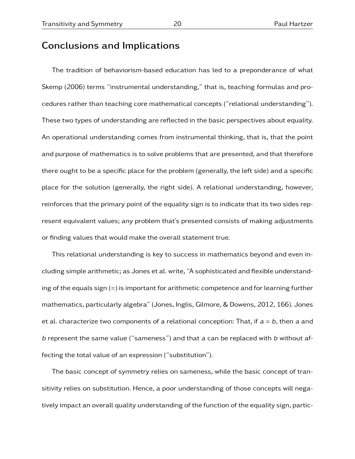# Conclusions and Implications

The tradition of behaviorism-based education has led to a preponderance of what Skemp (2006) terms "instrumental understanding," that is, teaching formulas and procedures rather than teaching core mathematical concepts ("relational understanding"). These two types of understanding are reflected in the basic perspectives about equality. An operational understanding comes from instrumental thinking, that is, that the point and purpose of mathematics is to solve problems that are presented, and that therefore there ought to be a specific place for the problem (generally, the left side) and a specific place for the solution (generally, the right side). A relational understanding, however, reinforces that the primary point of the equality sign is to indicate that its two sides represent equivalent values; any problem that's presented consists of making adjustments or finding values that would make the overall statement true.

This relational understanding is key to success in mathematics beyond and even including simple arithmetic; as Jones et al. write, "A sophisticated and flexible understanding of the equals sign  $(=)$  is important for arithmetic competence and for learning further mathematics, particularly algebra" (Jones, Inglis, Gilmore, & Dowens, 2012, 166). Jones et al. characterize two components of a relational conception: That, if  $a = b$ , then a and b represent the same value ("sameness") and that  $a$  can be replaced with  $b$  without affecting the total value of an expression ("substitution").

The basic concept of symmetry relies on sameness, while the basic concept of transitivity relies on substitution. Hence, a poor understanding of those concepts will negatively impact an overall quality understanding of the function of the equality sign, partic-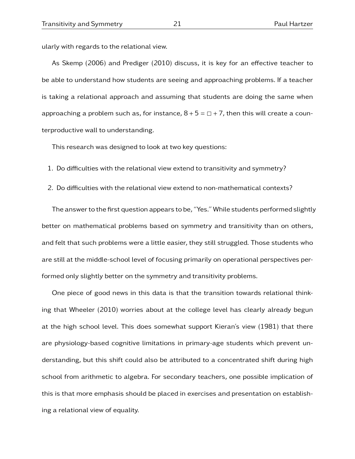ularly with regards to the relational view.

As Skemp (2006) and Prediger (2010) discuss, it is key for an effective teacher to be able to understand how students are seeing and approaching problems. If a teacher is taking a relational approach and assuming that students are doing the same when approaching a problem such as, for instance,  $8 + 5 = \Box + 7$ , then this will create a counterproductive wall to understanding.

This research was designed to look at two key questions:

- 1. Do difficulties with the relational view extend to transitivity and symmetry?
- 2. Do difficulties with the relational view extend to non-mathematical contexts?

The answer to the first question appears to be, "Yes." While students performed slightly better on mathematical problems based on symmetry and transitivity than on others, and felt that such problems were a little easier, they still struggled. Those students who are still at the middle-school level of focusing primarily on operational perspectives performed only slightly better on the symmetry and transitivity problems.

One piece of good news in this data is that the transition towards relational thinking that Wheeler (2010) worries about at the college level has clearly already begun at the high school level. This does somewhat support Kieran's view (1981) that there are physiology-based cognitive limitations in primary-age students which prevent understanding, but this shift could also be attributed to a concentrated shift during high school from arithmetic to algebra. For secondary teachers, one possible implication of this is that more emphasis should be placed in exercises and presentation on establishing a relational view of equality.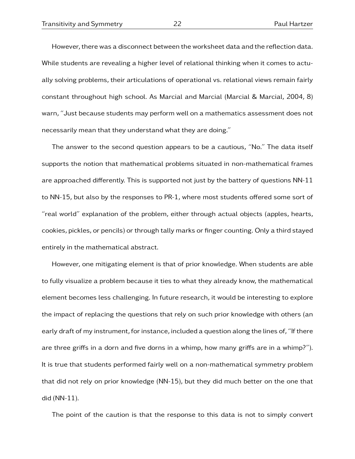However, there was a disconnect between the worksheet data and the reflection data. While students are revealing a higher level of relational thinking when it comes to actually solving problems, their articulations of operational vs. relational views remain fairly constant throughout high school. As Marcial and Marcial (Marcial & Marcial, 2004, 8) warn, "Just because students may perform well on a mathematics assessment does not necessarily mean that they understand what they are doing."

The answer to the second question appears to be a cautious, "No." The data itself supports the notion that mathematical problems situated in non-mathematical frames are approached differently. This is supported not just by the battery of questions NN-11 to NN-15, but also by the responses to PR-1, where most students offered some sort of "real world" explanation of the problem, either through actual objects (apples, hearts, cookies, pickles, or pencils) or through tally marks or finger counting. Only a third stayed entirely in the mathematical abstract.

However, one mitigating element is that of prior knowledge. When students are able to fully visualize a problem because it ties to what they already know, the mathematical element becomes less challenging. In future research, it would be interesting to explore the impact of replacing the questions that rely on such prior knowledge with others (an early draft of my instrument, for instance, included a question along the lines of, "If there are three griffs in a dorn and five dorns in a whimp, how many griffs are in a whimp?"). It is true that students performed fairly well on a non-mathematical symmetry problem that did not rely on prior knowledge (NN-15), but they did much better on the one that did (NN-11).

The point of the caution is that the response to this data is not to simply convert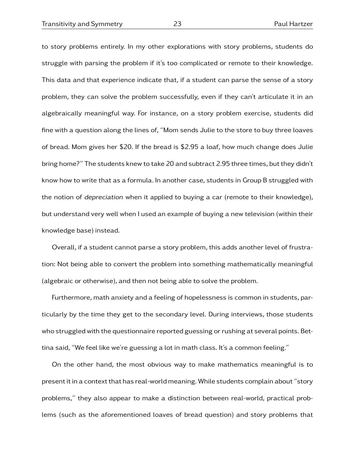to story problems entirely. In my other explorations with story problems, students do struggle with parsing the problem if it's too complicated or remote to their knowledge. This data and that experience indicate that, if a student can parse the sense of a story problem, they can solve the problem successfully, even if they can't articulate it in an algebraically meaningful way. For instance, on a story problem exercise, students did fine with a question along the lines of, "Mom sends Julie to the store to buy three loaves of bread. Mom gives her \$20. If the bread is \$2.95 a loaf, how much change does Julie bring home?" The students knew to take 20 and subtract 2.95 three times, but they didn't know how to write that as a formula. In another case, students in Group B struggled with the notion of depreciation when it applied to buying a car (remote to their knowledge), but understand very well when I used an example of buying a new television (within their knowledge base) instead.

Overall, if a student cannot parse a story problem, this adds another level of frustration: Not being able to convert the problem into something mathematically meaningful (algebraic or otherwise), and then not being able to solve the problem.

Furthermore, math anxiety and a feeling of hopelessness is common in students, particularly by the time they get to the secondary level. During interviews, those students who struggled with the questionnaire reported guessing or rushing at several points. Bettina said, "We feel like we're guessing a lot in math class. It's a common feeling."

On the other hand, the most obvious way to make mathematics meaningful is to present it in a context that has real-world meaning. While students complain about "story problems," they also appear to make a distinction between real-world, practical problems (such as the aforementioned loaves of bread question) and story problems that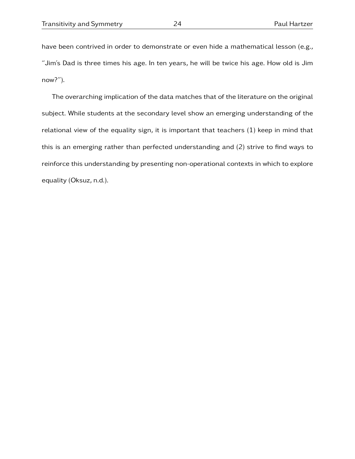have been contrived in order to demonstrate or even hide a mathematical lesson (e.g., "Jim's Dad is three times his age. In ten years, he will be twice his age. How old is Jim now?").

The overarching implication of the data matches that of the literature on the original subject. While students at the secondary level show an emerging understanding of the relational view of the equality sign, it is important that teachers  $(1)$  keep in mind that this is an emerging rather than perfected understanding and (2) strive to find ways to reinforce this understanding by presenting non-operational contexts in which to explore equality (Oksuz, n.d.).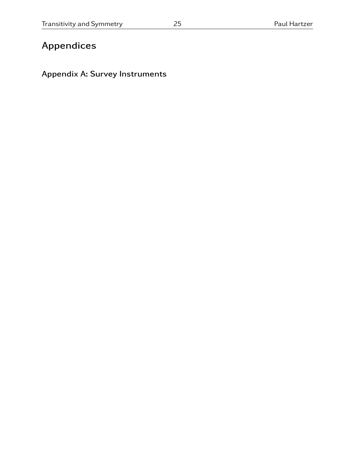# Appendices

# Appendix A: Survey Instruments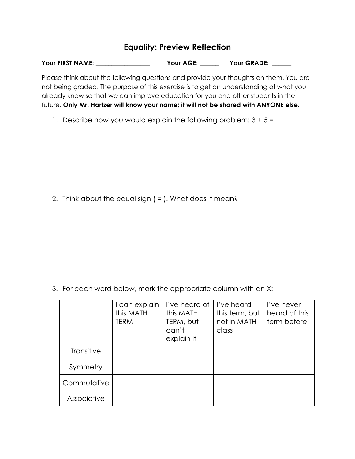# **Equality: Preview Reflection**

| Your FIRST NAME: | Your AGE: | Your GRADE: |
|------------------|-----------|-------------|
|                  |           |             |

Please think about the following questions and provide your thoughts on them. You are not being graded. The purpose of this exercise is to get an understanding of what you already know so that we can improve education for you and other students in the future. **Only Mr. Hartzer will know your name; it will not be shared with ANYONE else.**

1. Describe how you would explain the following problem:  $3 + 5 =$  \_\_\_\_\_

2. Think about the equal sign ( = ). What does it mean?

3. For each word below, mark the appropriate column with an X:

|             | I can explain<br>this MATH<br><b>TERM</b> | l've heard of<br>this MATH<br>TERM, but<br>can't<br>explain it | I've heard<br>this term, but<br>not in MATH<br>class | I've never<br>heard of this<br>term before |
|-------------|-------------------------------------------|----------------------------------------------------------------|------------------------------------------------------|--------------------------------------------|
| Transitive  |                                           |                                                                |                                                      |                                            |
| Symmetry    |                                           |                                                                |                                                      |                                            |
| Commutative |                                           |                                                                |                                                      |                                            |
| Associative |                                           |                                                                |                                                      |                                            |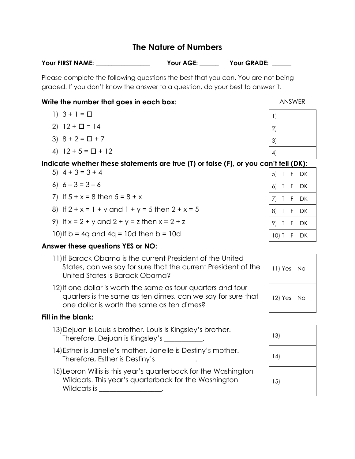# **The Nature of Numbers**

| Your FIRST NAME: | Your AGE: | <b>Your GRADE:</b> |
|------------------|-----------|--------------------|
|                  |           |                    |

Please complete the following questions the best that you can. You are not being graded. If you don't know the answer to a question, do your best to answer it.

## **Write the number that goes in each box:** ANSWER

- 1)  $3 + 1 = \Box$
- 2)  $12 + \square = 14$
- 3)  $8 + 2 = \Box + 7$
- 4)  $12 + 5 = \square + 12$

### **Indicate whether these statements are true (T) or false (F), or you can't tell (DK):**

- 5)  $4 + 3 = 3 + 4$
- 6)  $6 3 = 3 6$
- 7) If  $5 + x = 8$  then  $5 = 8 + x$
- 8) If  $2 + x = 1 + y$  and  $1 + y = 5$  then  $2 + x = 5$
- 9) If  $x = 2 + y$  and  $2 + y = z$  then  $x = 2 + z$
- 10) If  $b = 4q$  and  $4q = 10d$  then  $b = 10d$

## **Answer these questions YES or NO:**

- 11)If Barack Obama is the current President of the United States, can we say for sure that the current President of the United States is Barack Obama?
- 12)If one dollar is worth the same as four quarters and four quarters is the same as ten dimes, can we say for sure that one dollar is worth the same as ten dimes?

### **Fill in the blank:**

- 13)Dejuan is Louis's brother. Louis is Kingsley's brother. Therefore, Dejuan is Kingsley's \_\_\_\_\_\_\_\_\_\_\_. 13) 14)Esther is Janelle's mother. Janelle is Destiny's mother. Therefore, Esther is Destiny's \_\_\_\_\_\_\_\_\_\_\_. 14)
- 15)Lebron Willis is this year's quarterback for the Washington Wildcats. This year's quarterback for the Washington Wildcats is \_\_\_\_\_\_\_\_\_\_\_\_\_\_\_\_\_\_.

| $\left  \right $ |  |
|------------------|--|
| 2)               |  |
| 3)               |  |
| 4)               |  |

|     | ◡      |   | υм. |  |
|-----|--------|---|-----|--|
| 5)  | Τ      | F | DK  |  |
| 6)  | Τ      | F | DK  |  |
| 7)  | Τ      | F | DK  |  |
| 8)  | Τ      | F | DK  |  |
| 9)  | T      | F | DK  |  |
| 10) | $\top$ | F | DK  |  |

| 11) Yes No |      |
|------------|------|
| 12) Yes    | - No |

| 13) |
|-----|
| 14) |
| 15) |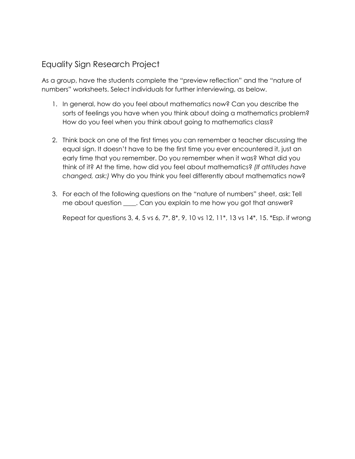# Equality Sign Research Project

As a group, have the students complete the "preview reflection" and the "nature of numbers" worksheets. Select individuals for further interviewing, as below.

- 1. In general, how do you feel about mathematics now? Can you describe the sorts of feelings you have when you think about doing a mathematics problem? How do you feel when you think about going to mathematics class?
- 2. Think back on one of the first times you can remember a teacher discussing the equal sign. It doesn't have to be the first time you ever encountered it, just an early time that you remember. Do you remember when it was? What did you think of it? At the time, how did you feel about mathematics? *(If attitudes have changed, ask:)* Why do you think you feel differently about mathematics now?
- 3. For each of the following questions on the "nature of numbers" sheet, ask: Tell me about question \_\_\_\_. Can you explain to me how you got that answer?

Repeat for questions 3, 4, 5 vs 6, 7\*, 8\*, 9, 10 vs 12, 11\*, 13 vs 14\*, 15. \*Esp. if wrong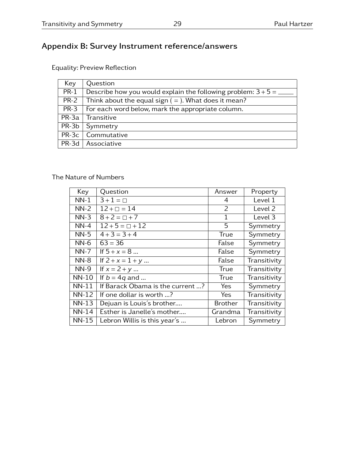# Appendix B: Survey Instrument reference/answers

Equality: Preview Reflection

| Key    | Question                                                          |
|--------|-------------------------------------------------------------------|
| $PR-1$ | Describe how you would explain the following problem: $3 + 5 =$ _ |
|        | PR-2   Think about the equal sign $(=)$ . What does it mean?      |
| $PR-3$ | For each word below, mark the appropriate column.                 |
|        | $PR-3a$ Transitive                                                |
|        | $PR-3b$ Symmetry                                                  |
|        | $PR-3c$ Commutative                                               |
|        | PR-3d   Associative                                               |

### The Nature of Numbers

| Key          | Question                         | Answer         | Property           |
|--------------|----------------------------------|----------------|--------------------|
| $NN-1$       | $3 + 1 = \Box$                   | 4              | Level 1            |
| $NN-2$       | $12 + \square = 14$              | 2              | Level <sub>2</sub> |
| $NN-3$       | $8 + 2 = \Box + 7$               | $\mathbf{1}$   | Level 3            |
| $NN-4$       | $12 + 5 = \square + 12$          | 5              | Symmetry           |
| $NN-5$       | $4 + 3 = 3 + 4$                  | True           | Symmetry           |
| $NN-6$       | $63 = 36$                        | False          | Symmetry           |
| $NN-7$       | If $5 + x = 8$                   | False          | Symmetry           |
| $NN-8$       | If $2 + x = 1 + y$               | False          | Transitivity       |
| $NN-9$       | If $x = 2 + y$                   | <b>True</b>    | Transitivity       |
| <b>NN-10</b> | If $b = 4q$ and                  | True           | Transitivity       |
| $NN-11$      | If Barack Obama is the current ? | Yes            | Symmetry           |
| <b>NN-12</b> | If one dollar is worth ?         | Yes            | Transitivity       |
| $NN-13$      | Dejuan is Louis's brother        | <b>Brother</b> | Transitivity       |
| $NN-14$      | Esther is Janelle's mother       | Grandma        | Transitivity       |
| <b>NN-15</b> | Lebron Willis is this year's     | Lebron         | Symmetry           |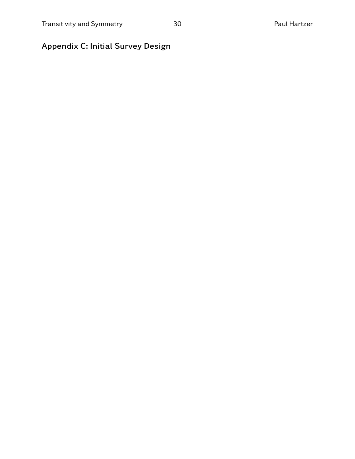# Appendix C: Initial Survey Design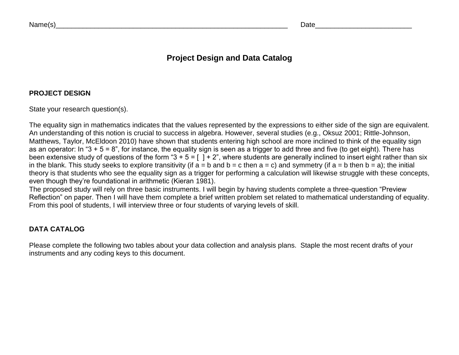Date\_\_\_\_\_\_\_\_\_\_\_\_\_\_\_\_\_\_\_\_\_\_\_\_\_

# **Project Design and Data Catalog**

## **PROJECT DESIGN**

State your research question(s).

The equality sign in mathematics indicates that the values represented by the expressions to either side of the sign are equivalent. An understanding of this notion is crucial to success in algebra. However, several studies (e.g., Oksuz 2001; Rittle-Johnson, Matthews, Taylor, McEldoon 2010) have shown that students entering high school are more inclined to think of the equality sign<br>Matthews, Taylor, We as an operator: In "3 + 5 = 8", for instance, the equality sign is seen as a trigger to add three and five (to get eight). There has been extensive study of questions of the form "3 + 5 = [ ] + 2", where students are generally inclined to insert eight rather than six in the blank. This study seeks to explore transitivity (if  $a = b$  and  $b = c$  then  $a = c$ ) and symmetry (if  $a = b$  then  $b = a$ ); the initial theory is that students who see the equality sign as a trigger for performing a calculation will likewise struggle with these concepts, even though they're foundational in arithmetic (Kieran 1981).

 The proposed study will rely on three basic instruments. I will begin by having students complete a three-question "Preview Reflection" on paper. Then I will have them complete a brief written problem set related to mathematical understanding of equality. From this pool of students, I will interview three or four students of varying levels of skill.

## **DATA CATALOG**

Please complete the following two tables about your data collection and analysis plans. Staple the most recent drafts of your instruments and any coding keys to this document.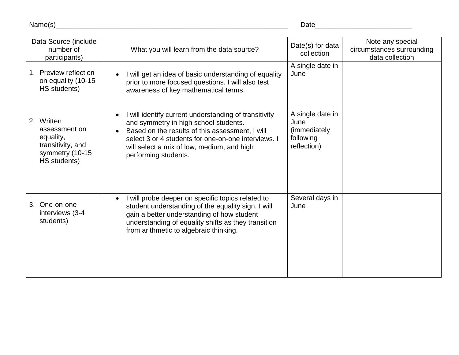Name(s)\_\_\_\_\_\_\_\_\_\_\_\_\_\_\_\_\_\_\_\_\_\_\_\_\_\_\_\_\_\_\_\_\_\_\_\_\_\_\_\_\_\_\_\_\_\_\_\_\_\_\_\_\_\_\_\_\_\_\_\_

Date\_\_\_\_\_\_\_\_\_\_\_\_\_\_\_\_\_\_\_\_\_\_\_\_\_

| Data Source (include<br>number of<br>participants)                                               | What you will learn from the data source?                                                                                                                                                                                                                                                                | Date(s) for data<br>collection                                        | Note any special<br>circumstances surrounding<br>data collection |
|--------------------------------------------------------------------------------------------------|----------------------------------------------------------------------------------------------------------------------------------------------------------------------------------------------------------------------------------------------------------------------------------------------------------|-----------------------------------------------------------------------|------------------------------------------------------------------|
| <b>Preview reflection</b><br>on equality (10-15<br>HS students)                                  | I will get an idea of basic understanding of equality<br>$\bullet$<br>prior to more focused questions. I will also test<br>awareness of key mathematical terms.                                                                                                                                          | A single date in<br>June                                              |                                                                  |
| 2. Written<br>assessment on<br>equality,<br>transitivity, and<br>symmetry (10-15<br>HS students) | I will identify current understanding of transitivity<br>$\bullet$<br>and symmetry in high school students.<br>Based on the results of this assessment, I will<br>$\bullet$<br>select 3 or 4 students for one-on-one interviews. I<br>will select a mix of low, medium, and high<br>performing students. | A single date in<br>June<br>(immediately)<br>following<br>reflection) |                                                                  |
| One-on-one<br>3.<br>interviews (3-4<br>students)                                                 | I will probe deeper on specific topics related to<br>$\bullet$<br>student understanding of the equality sign. I will<br>gain a better understanding of how student<br>understanding of equality shifts as they transition<br>from arithmetic to algebraic thinking.                                      | Several days in<br>June                                               |                                                                  |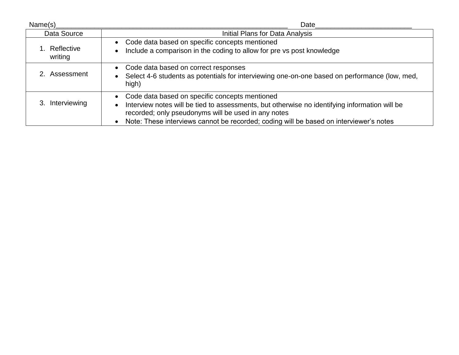| Name(s)                  | Date                                                                                                                                                                                                                                                                                               |  |  |  |  |
|--------------------------|----------------------------------------------------------------------------------------------------------------------------------------------------------------------------------------------------------------------------------------------------------------------------------------------------|--|--|--|--|
| Data Source              | Initial Plans for Data Analysis                                                                                                                                                                                                                                                                    |  |  |  |  |
| 1. Reflective<br>writing | • Code data based on specific concepts mentioned<br>Include a comparison in the coding to allow for pre vs post knowledge                                                                                                                                                                          |  |  |  |  |
| 2. Assessment            | • Code data based on correct responses<br>Select 4-6 students as potentials for interviewing one-on-one based on performance (low, med,<br>high)                                                                                                                                                   |  |  |  |  |
| Interviewing             | • Code data based on specific concepts mentioned<br>Interview notes will be tied to assessments, but otherwise no identifying information will be<br>recorded; only pseudonyms will be used in any notes<br>Note: These interviews cannot be recorded; coding will be based on interviewer's notes |  |  |  |  |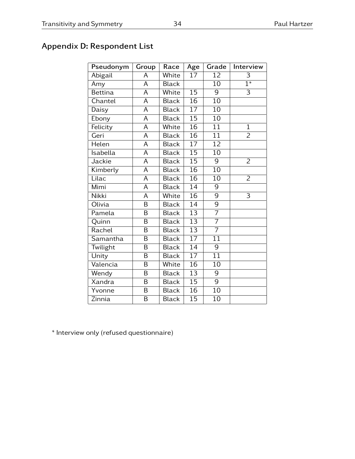# Appendix D: Respondent List

| Pseudonym      | Group                   | Race         | Age             | Grade           | Interview        |
|----------------|-------------------------|--------------|-----------------|-----------------|------------------|
| Abigail        | A                       | White        | 17              | 12              | 3                |
| Amy            | A                       | <b>Black</b> |                 | $\overline{10}$ | $\overline{1^*}$ |
| <b>Bettina</b> | A                       | White        | 15              | 9               | $\overline{3}$   |
| Chantel        | A                       | <b>Black</b> | 16              | 10              |                  |
| Daisy          | A                       | <b>Black</b> | $\overline{17}$ | 10              |                  |
| Ebony          | A                       | <b>Black</b> | 15              | 10              |                  |
| Felicity       | A                       | White        | $\overline{16}$ | $\overline{11}$ | $\overline{1}$   |
| Geri           | A                       | <b>Black</b> | $\overline{16}$ | 11              | $\overline{2}$   |
| Helen          | A                       | <b>Black</b> | $\overline{17}$ | 12              |                  |
| Isabella       | $\overline{\mathsf{A}}$ | <b>Black</b> | 15              | $\overline{10}$ |                  |
| Jackie         | A                       | <b>Black</b> | 15              | 9               | $\overline{2}$   |
| Kimberly       | A                       | <b>Black</b> | 16              | 10              |                  |
| Lilac          | A                       | <b>Black</b> | 16              | 10              | $\overline{2}$   |
| Mimi           | A                       | <b>Black</b> | $\overline{14}$ | $\overline{9}$  |                  |
| <b>Nikki</b>   | A                       | White        | 16              | $\overline{9}$  | $\overline{3}$   |
| Olivia         | B                       | <b>Black</b> | 14              | $\overline{9}$  |                  |
| Pamela         | B                       | <b>Black</b> | 13              | $\overline{7}$  |                  |
| Quinn          | B                       | <b>Black</b> | 13              | $\overline{7}$  |                  |
| Rachel         | B                       | <b>Black</b> | $\overline{13}$ | $\overline{7}$  |                  |
| Samantha       | B                       | <b>Black</b> | $\overline{17}$ | 11              |                  |
| Twilight       | B                       | <b>Black</b> | 14              | 9               |                  |
| Unity          | B                       | <b>Black</b> | $\overline{17}$ | $\overline{11}$ |                  |
| Valencia       | B                       | White        | 16              | 10              |                  |
| Wendy          | B                       | <b>Black</b> | 13              | 9               |                  |
| Xandra         | B                       | <b>Black</b> | $\overline{15}$ | $\overline{9}$  |                  |
| Yvonne         | B                       | <b>Black</b> | 16              | $\overline{10}$ |                  |
| Zinnia         | B                       | <b>Black</b> | 15              | 10              |                  |

\* Interview only (refused questionnaire)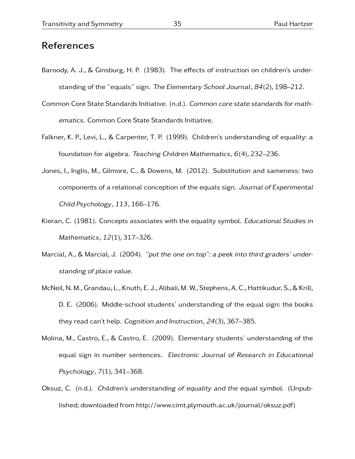# References

- Baroody, A. J., & Ginsburg, H. P. (1983). The effects of instruction on children's understanding of the "equals" sign. The Elementary School Journal, 84(2), 198–212.
- Common Core State Standards Initiative. (n.d.). Common core state standards for mathematics. Common Core State Standards Initiative.
- Falkner, K. P., Levi, L., & Carpenter, T. P. (1999). Children's understanding of equality: a foundation for algebra. Teaching Children Mathematics,  $6(4)$ , 232–236.
- Jones, I., Inglis, M., Gilmore, C., & Dowens, M. (2012). Substitution and sameness: two components of a relational conception of the equals sign. Journal of Experimental Child Psychology, 113, 166–176.
- Kieran, C. (1981). Concepts associates with the equality symbol. Educational Studies in Mathematics, 12(1), 317–326.
- Marcial, A., & Marcial, J. (2004). "put the one on top": a peek into third graders' understanding of place value.
- McNeil, N. M., Grandau, L., Knuth, E. J., Alibali, M. W., Stephens, A. C., Hattikudur, S., & Krill, D. E. (2006). Middle-school students' understanding of the equal sign: the books they read can't help. Cognition and Instruction, 24(3), 367–385.
- Molina, M., Castro, E., & Castro, E. (2009). Elementary students' understanding of the equal sign in number sentences. Electronic Journal of Research in Educational Psychology, 7(1), 341–368.
- Oksuz, C. (n.d.). Children's understanding of equality and the equal symbol. (Unpublished; downloaded from http://www.cimt.plymouth.ac.uk/journal/oksuz.pdf)